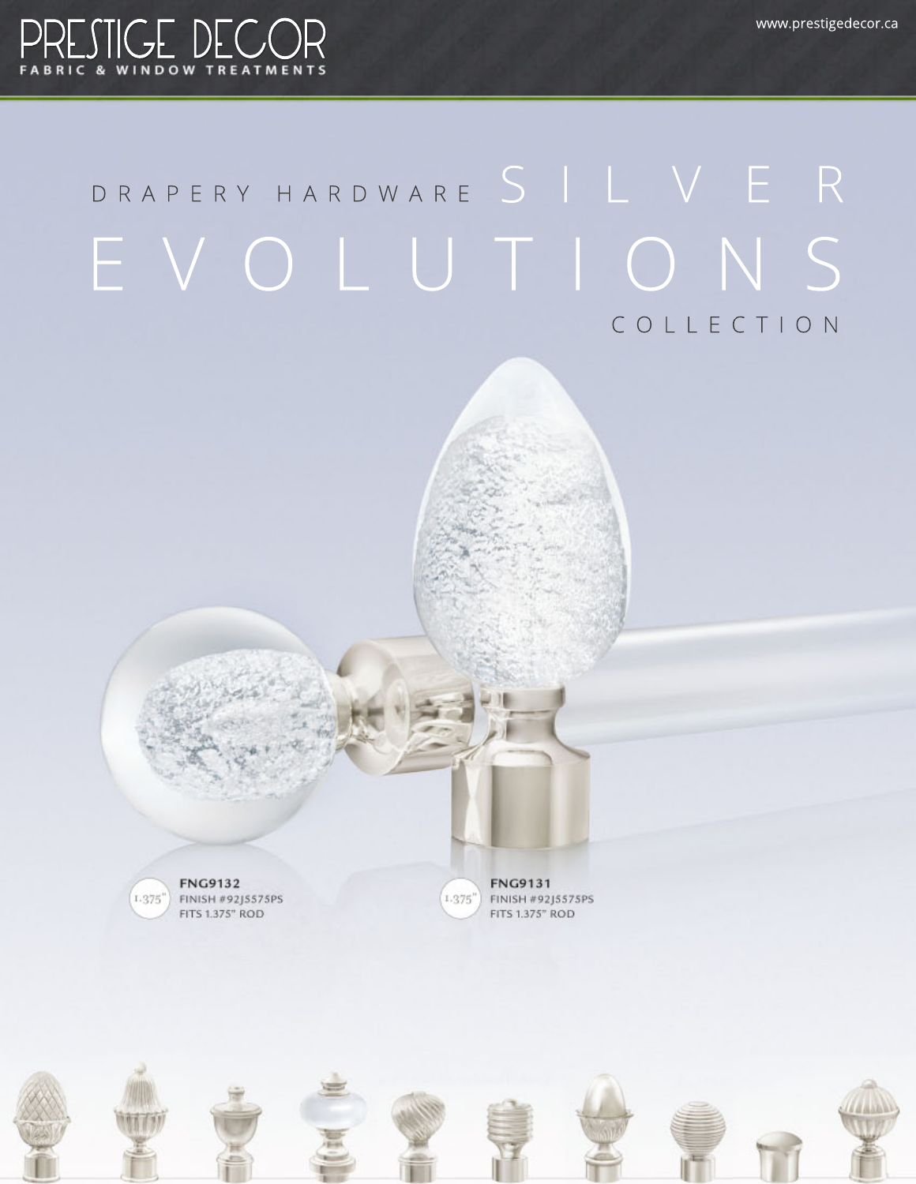

# DRAPERY HARDWARE S | L V E R EVOLUTIONS COLLECTION

**FNG9132** 1.375" FINISH #92J5575PS **FITS 1.375" ROD** 

**FNG9131**  $1.375''$ FINISH #92J5575PS **FITS 1.375" ROD**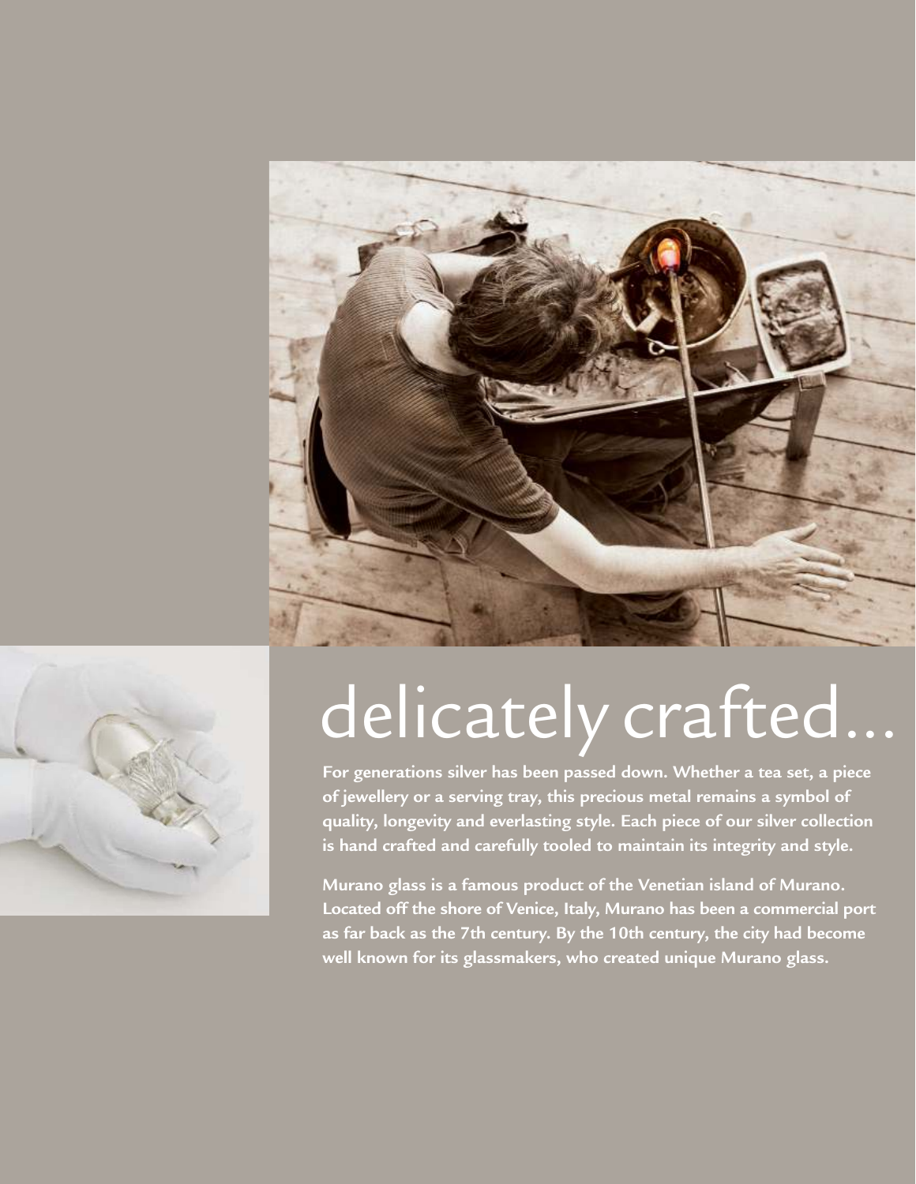



# delicately crafted...

**For generations silver has been passed down. Whether a tea set, a piece of jewellery or a serving tray, this precious metal remains a symbol of quality, longevity and everlasting style. Each piece of our silver collection is hand crafted and carefully tooled to maintain its integrity and style.** 

**Murano glass is a famous product of the Venetian island of Murano. Located off the shore of Venice, Italy, Murano has been a commercial port as far back as the 7th century. By the 10th century, the city had become well known for its glassmakers, who created unique Murano glass.**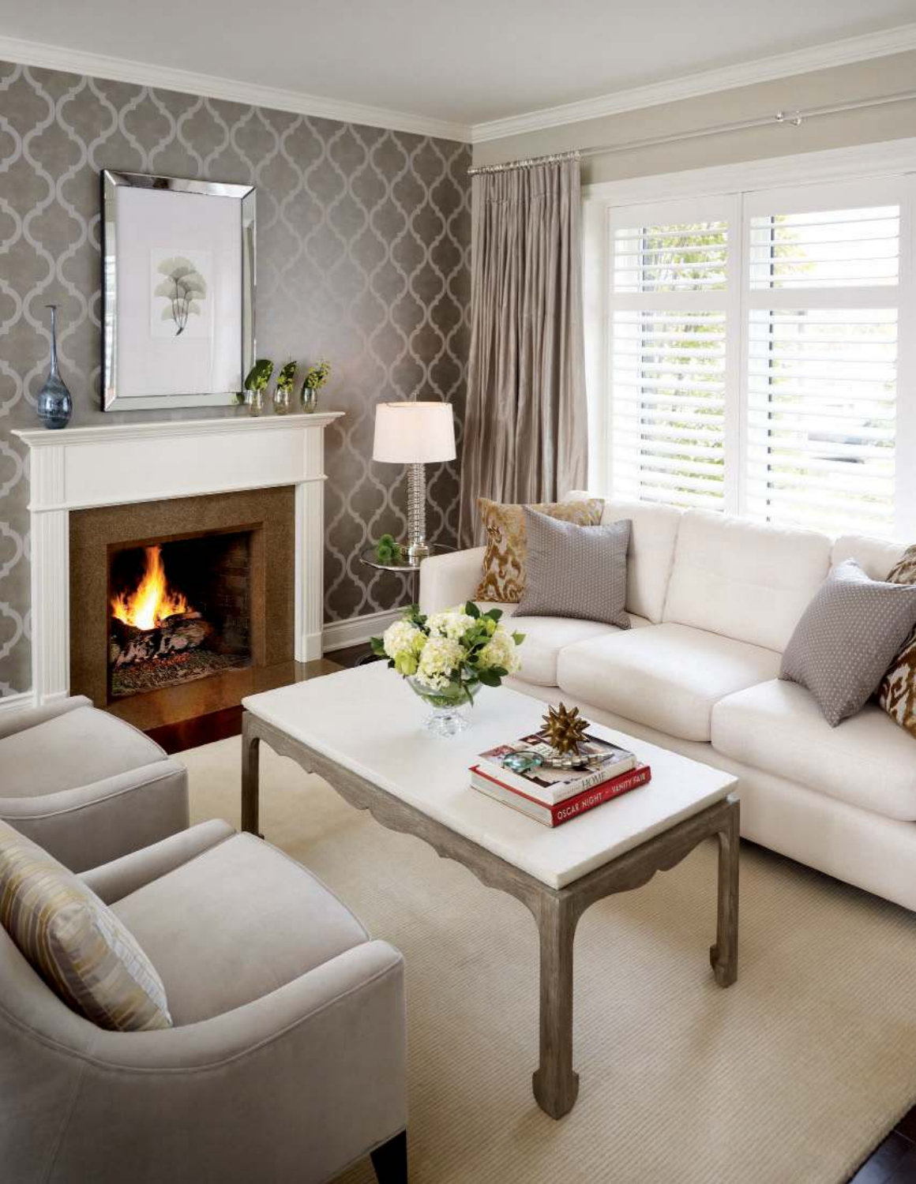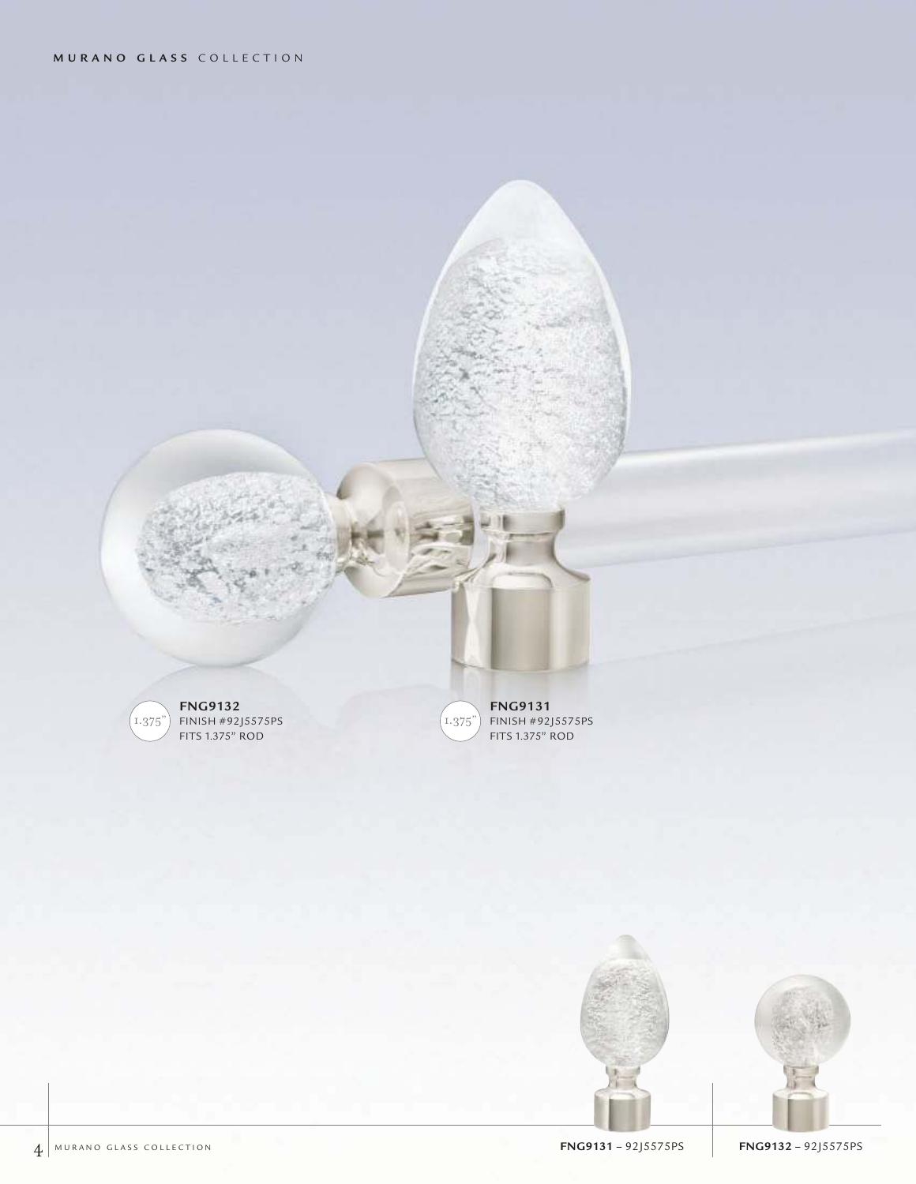

**FNG9132** FINISH #92J5575PS FITS 1.375" ROD  $1.375"$  FINISH #92J5575PS  $(1.375"$ 

**FNG9131** FINISH #92J5575PS FITS 1.375" ROD

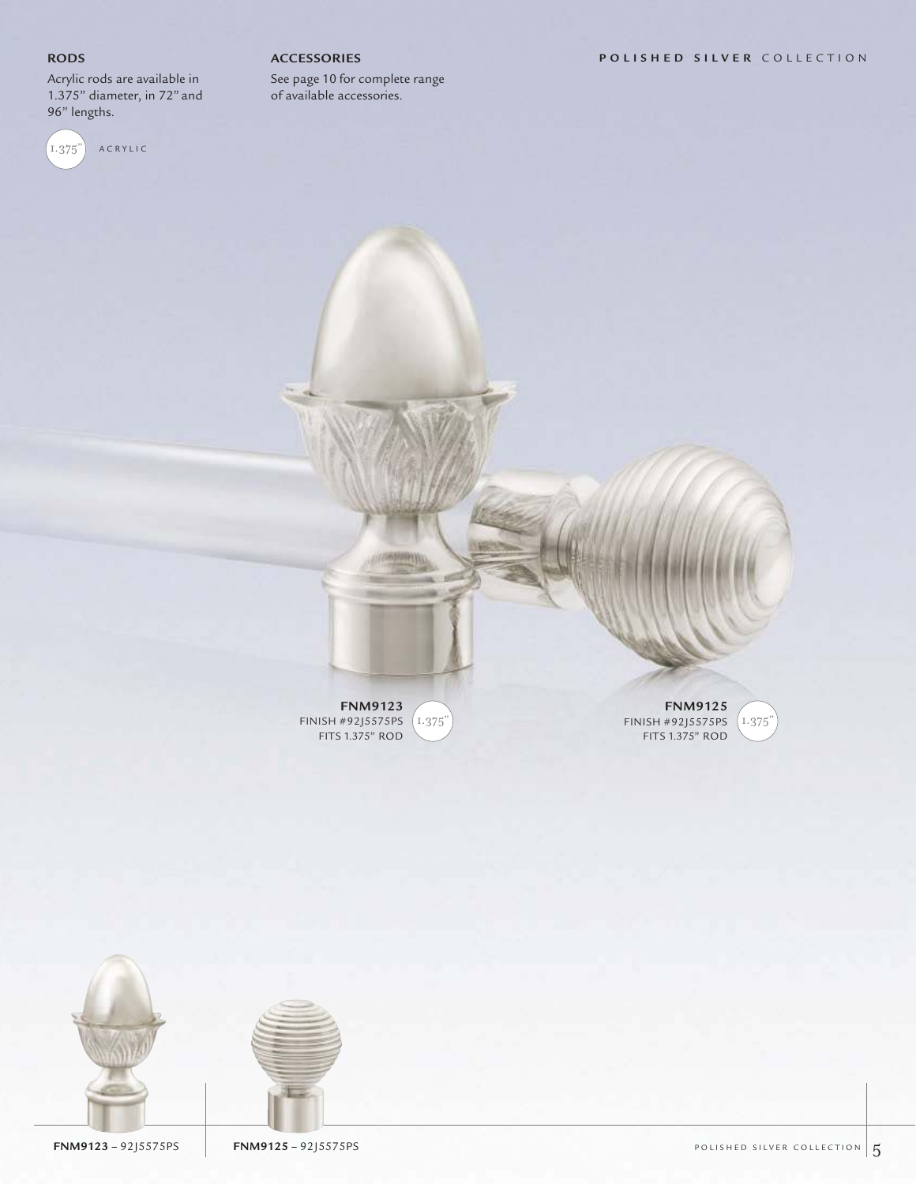# **RODS**

Acrylic rods are available in 1.375" diameter, in 72" and 96" lengths.



#### **ACCESSORIES**

See page 10 for complete range of available accessories.

**FNM9125**

FITS 1.375" ROD

**FNM9123** FINISH #92J5575PS FITS 1.375" ROD  $1.375"$  FINISH #92J5575PS  $(1.375"$ 

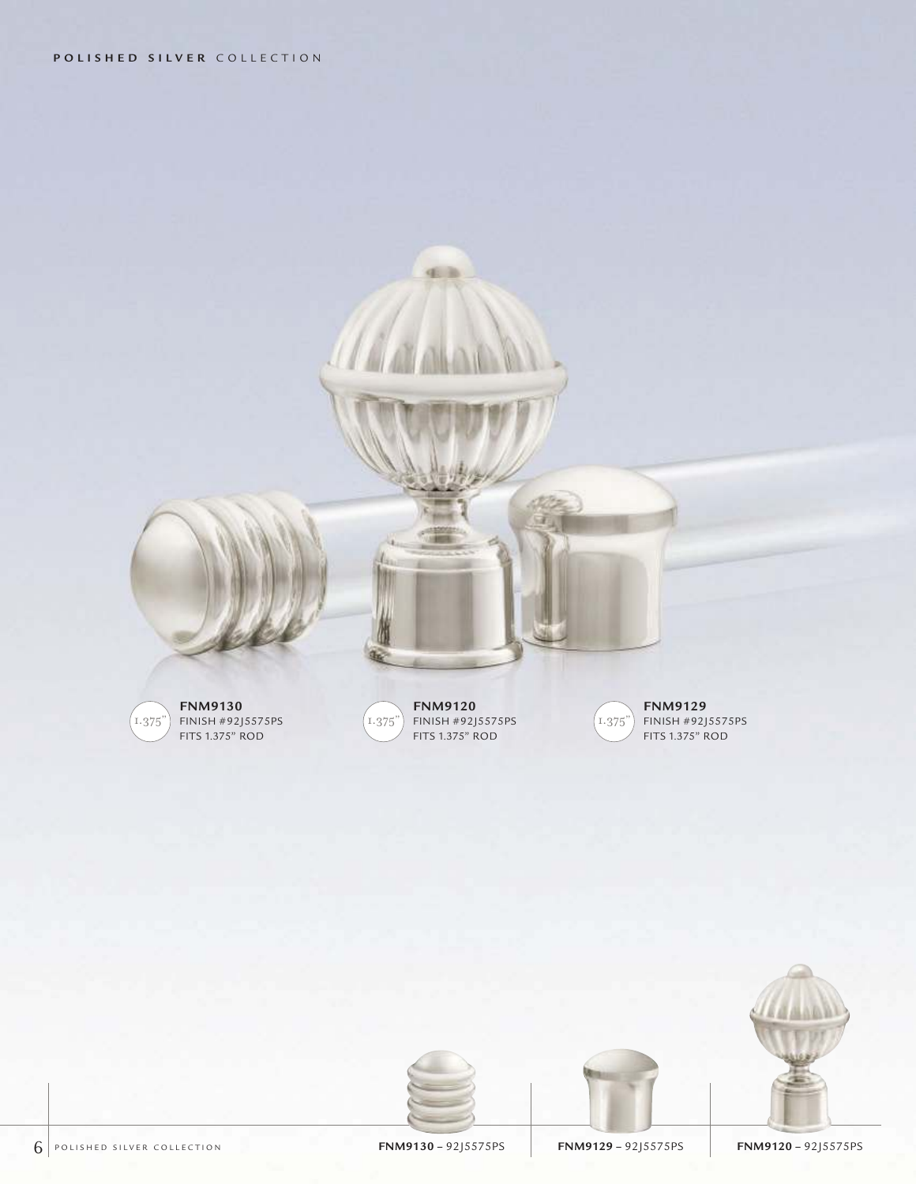





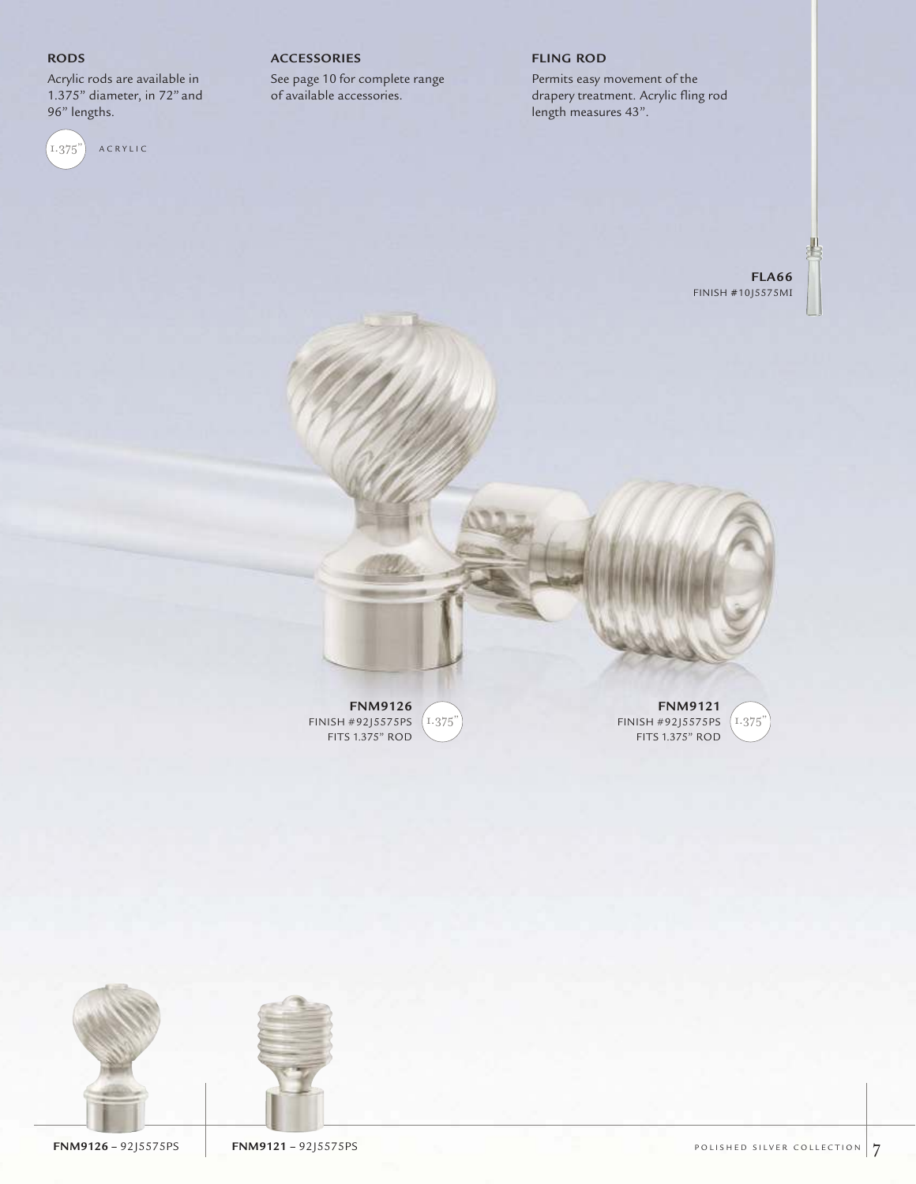# **RODS**

Acrylic rods are available in 1.375" diameter, in 72" and 96" lengths.



 $\left(1.375\right)$  ACRYLIC

#### **ACCESSORIES**

See page 10 for complete range of available accessories.

#### **FLING ROD**

Permits easy movement of the drapery treatment. Acrylic fling rod length measures 43".

> **FLA66** FINISH **#**10J5575MI

**FNM9121**

FITS 1.375" ROD

**FNM9126** FINISH #92J5575PS FITS 1.375" ROD  $1.375"$  FINISH #92J5575PS  $(1.375"$ 

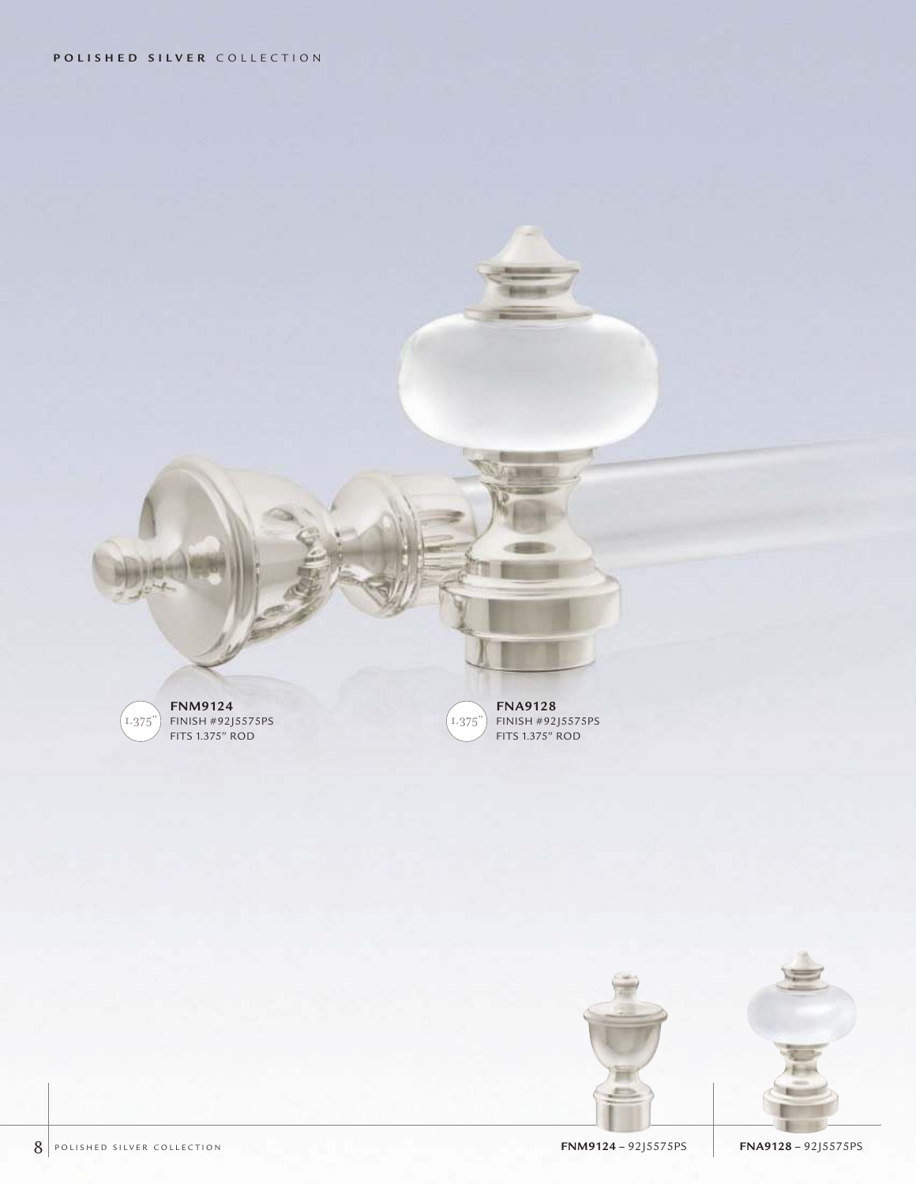**FNM9124** FINISH #92J5575PS FITS 1.375" ROD  $1.375"$  FINISH #92J5575PS (1.375"

**FNA9128** FINISH #92J5575PS FITS 1.375" ROD

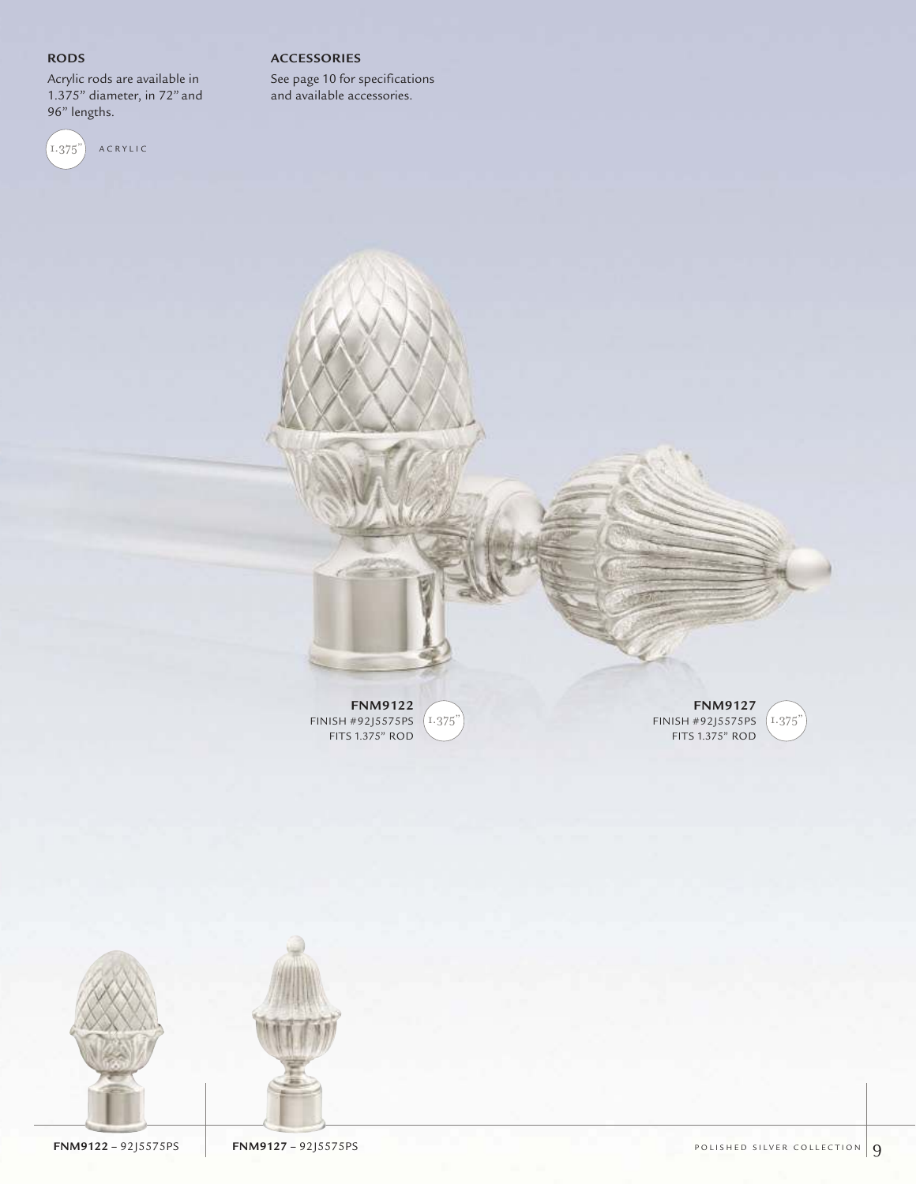# **RODS**

Acrylic rods are available in 1.375" diameter, in 72" and 96" lengths.



 $\left(1.375^{\prime\prime}\right)$  ACRYLIC

### **ACCESSORIES**

See page 10 for specifications and available accessories.

> **FNM9122** FINISH #92J5575PS FITS 1.375" ROD  $1.375"$  FINISH #92J5575PS  $(1.375"$



**FNM9127**

FITS 1.375" ROD